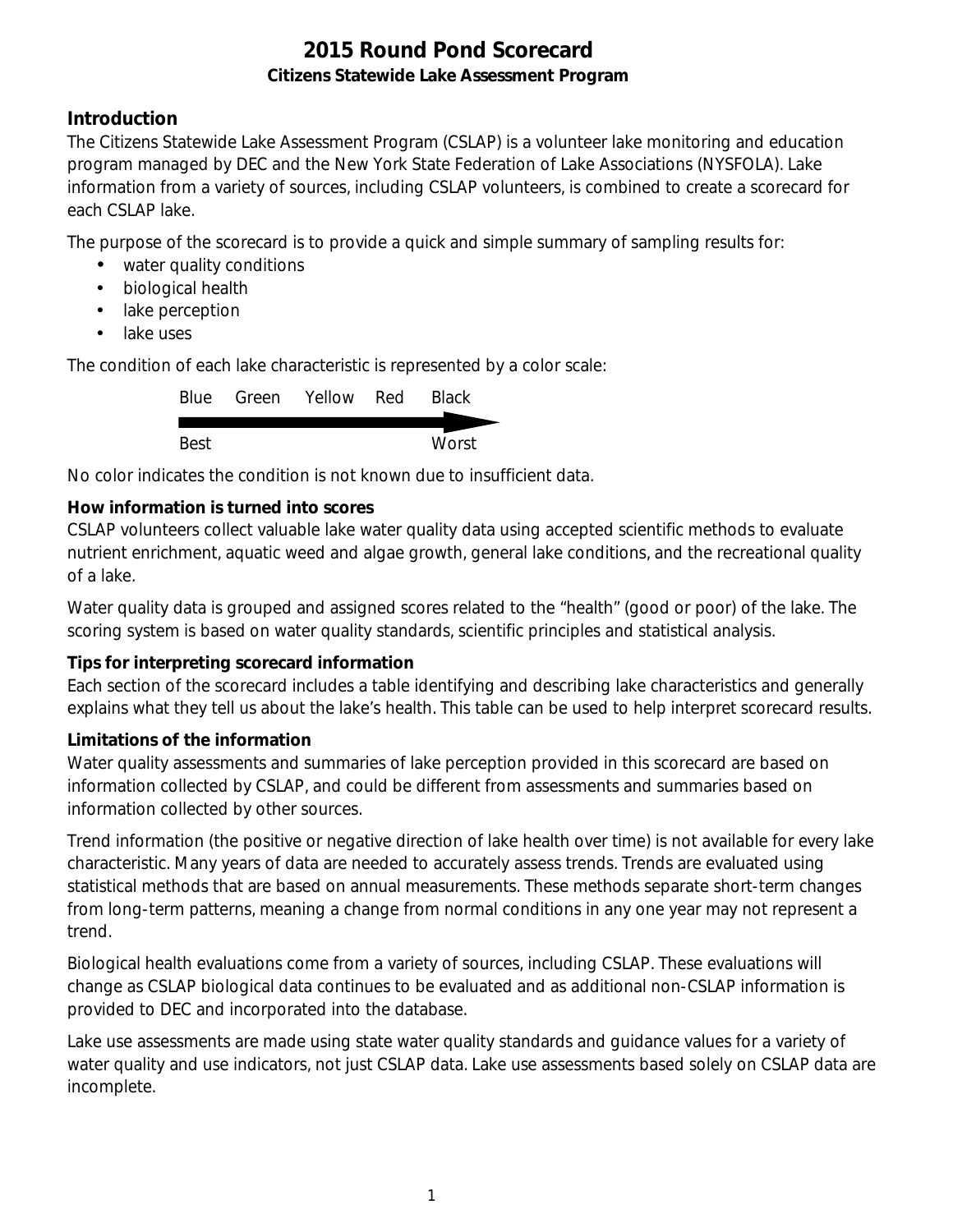## **Introduction**

The Citizens Statewide Lake Assessment Program (CSLAP) is a volunteer lake monitoring and education program managed by DEC and the New York State Federation of Lake Associations (NYSFOLA). Lake information from a variety of sources, including CSLAP volunteers, is combined to create a scorecard for each CSLAP lake.

The purpose of the scorecard is to provide a quick and simple summary of sampling results for:

- water quality conditions
- $\mathcal{L}^{\text{max}}$ biological health
- . lake perception
- L. lake uses

The condition of each lake characteristic is represented by a color scale:

|      | Blue Green Yellow Red | <b>Black</b> |
|------|-----------------------|--------------|
|      |                       |              |
| Best |                       | Worst        |

No color indicates the condition is not known due to insufficient data.

## **How information is turned into scores**

CSLAP volunteers collect valuable lake water quality data using accepted scientific methods to evaluate nutrient enrichment, aquatic weed and algae growth, general lake conditions, and the recreational quality of a lake.

Water quality data is grouped and assigned scores related to the "health" (good or poor) of the lake. The scoring system is based on water quality standards, scientific principles and statistical analysis.

#### **Tips for interpreting scorecard information**

Each section of the scorecard includes a table identifying and describing lake characteristics and generally explains what they tell us about the lake's health. This table can be used to help interpret scorecard results.

#### **Limitations of the information**

Water quality assessments and summaries of lake perception provided in this scorecard are based on information collected by CSLAP, and could be different from assessments and summaries based on information collected by other sources.

Trend information (the positive or negative direction of lake health over time) is not available for every lake characteristic. Many years of data are needed to accurately assess trends. Trends are evaluated using statistical methods that are based on annual measurements. These methods separate short-term changes from long-term patterns, meaning a change from normal conditions in any one year may not represent a trend.

Biological health evaluations come from a variety of sources, including CSLAP. These evaluations will change as CSLAP biological data continues to be evaluated and as additional non-CSLAP information is provided to DEC and incorporated into the database.

Lake use assessments are made using state water quality standards and guidance values for a variety of water quality and use indicators, not just CSLAP data. Lake use assessments based solely on CSLAP data are incomplete.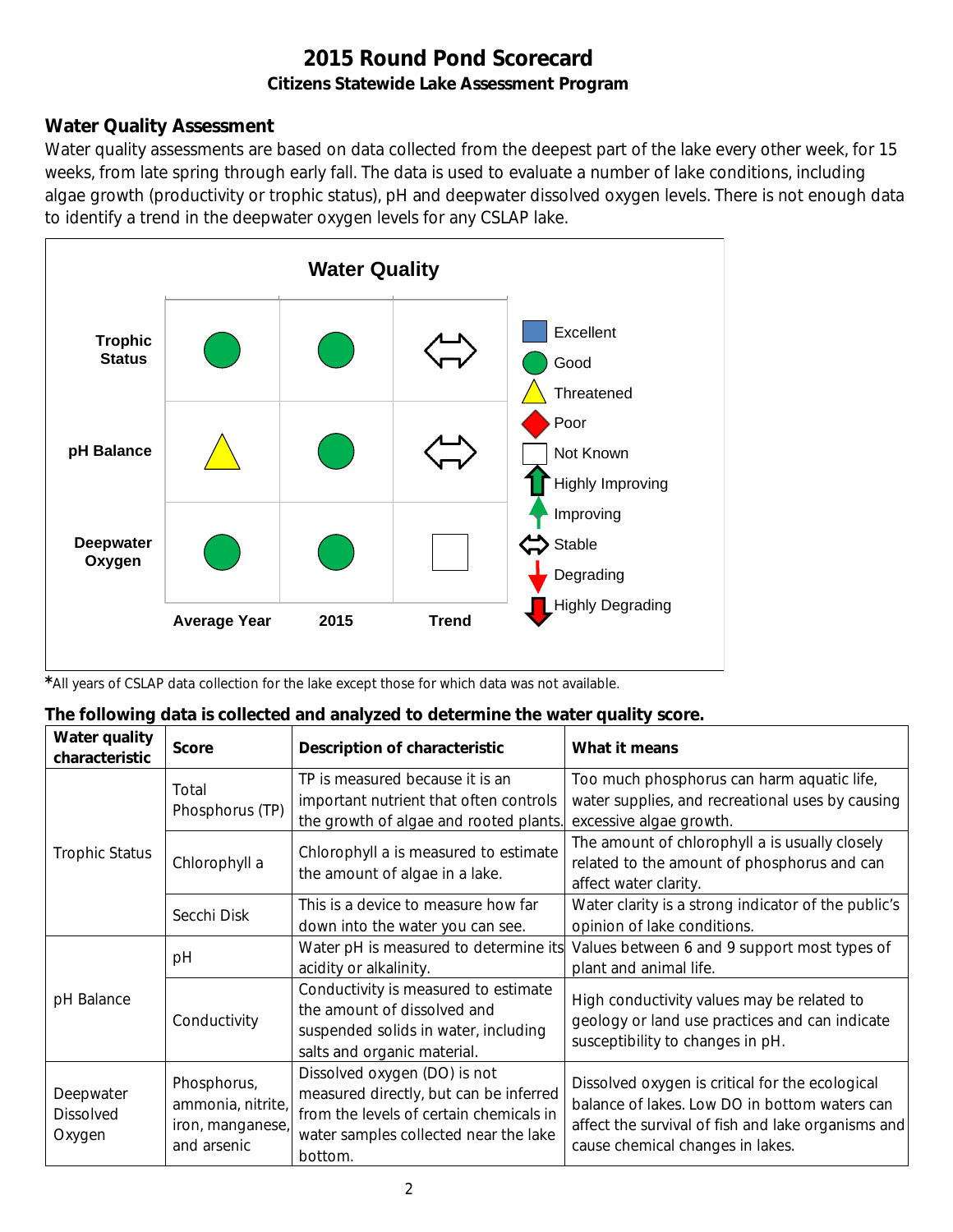## **Water Quality Assessment**

Water quality assessments are based on data collected from the deepest part of the lake every other week, for 15 weeks, from late spring through early fall. The data is used to evaluate a number of lake conditions, including algae growth (productivity or trophic status), pH and deepwater dissolved oxygen levels. There is not enough data to identify a trend in the deepwater oxygen levels for any CSLAP lake.



*\**All years of CSLAP data collection for the lake except those for which data was not available.

| The following data is collected and analyzed to determine the water quality score. |  |  |
|------------------------------------------------------------------------------------|--|--|
|                                                                                    |  |  |

| Water quality<br>characteristic         | <b>Score</b>                                                        | Description of characteristic                                                                                                                                         | What it means                                                                                                                                                                              |
|-----------------------------------------|---------------------------------------------------------------------|-----------------------------------------------------------------------------------------------------------------------------------------------------------------------|--------------------------------------------------------------------------------------------------------------------------------------------------------------------------------------------|
|                                         | Total<br>Phosphorus (TP)                                            | TP is measured because it is an<br>important nutrient that often controls<br>the growth of algae and rooted plants.                                                   | Too much phosphorus can harm aquatic life,<br>water supplies, and recreational uses by causing<br>excessive algae growth.                                                                  |
| <b>Trophic Status</b>                   | Chlorophyll a                                                       | Chlorophyll a is measured to estimate<br>the amount of algae in a lake.                                                                                               | The amount of chlorophyll a is usually closely<br>related to the amount of phosphorus and can<br>affect water clarity.                                                                     |
|                                         | Secchi Disk                                                         | This is a device to measure how far<br>down into the water you can see.                                                                                               | Water clarity is a strong indicator of the public's<br>opinion of lake conditions.                                                                                                         |
|                                         | рH                                                                  | Water pH is measured to determine its<br>acidity or alkalinity.                                                                                                       | Values between 6 and 9 support most types of<br>plant and animal life.                                                                                                                     |
| pH Balance                              | Conductivity                                                        | Conductivity is measured to estimate<br>the amount of dissolved and<br>suspended solids in water, including<br>salts and organic material.                            | High conductivity values may be related to<br>geology or land use practices and can indicate<br>susceptibility to changes in pH.                                                           |
| Deepwater<br><b>Dissolved</b><br>Oxygen | Phosphorus,<br>ammonia, nitrite,<br>iron, manganese,<br>and arsenic | Dissolved oxygen (DO) is not<br>measured directly, but can be inferred<br>from the levels of certain chemicals in<br>water samples collected near the lake<br>bottom. | Dissolved oxygen is critical for the ecological<br>balance of lakes. Low DO in bottom waters can<br>affect the survival of fish and lake organisms and<br>cause chemical changes in lakes. |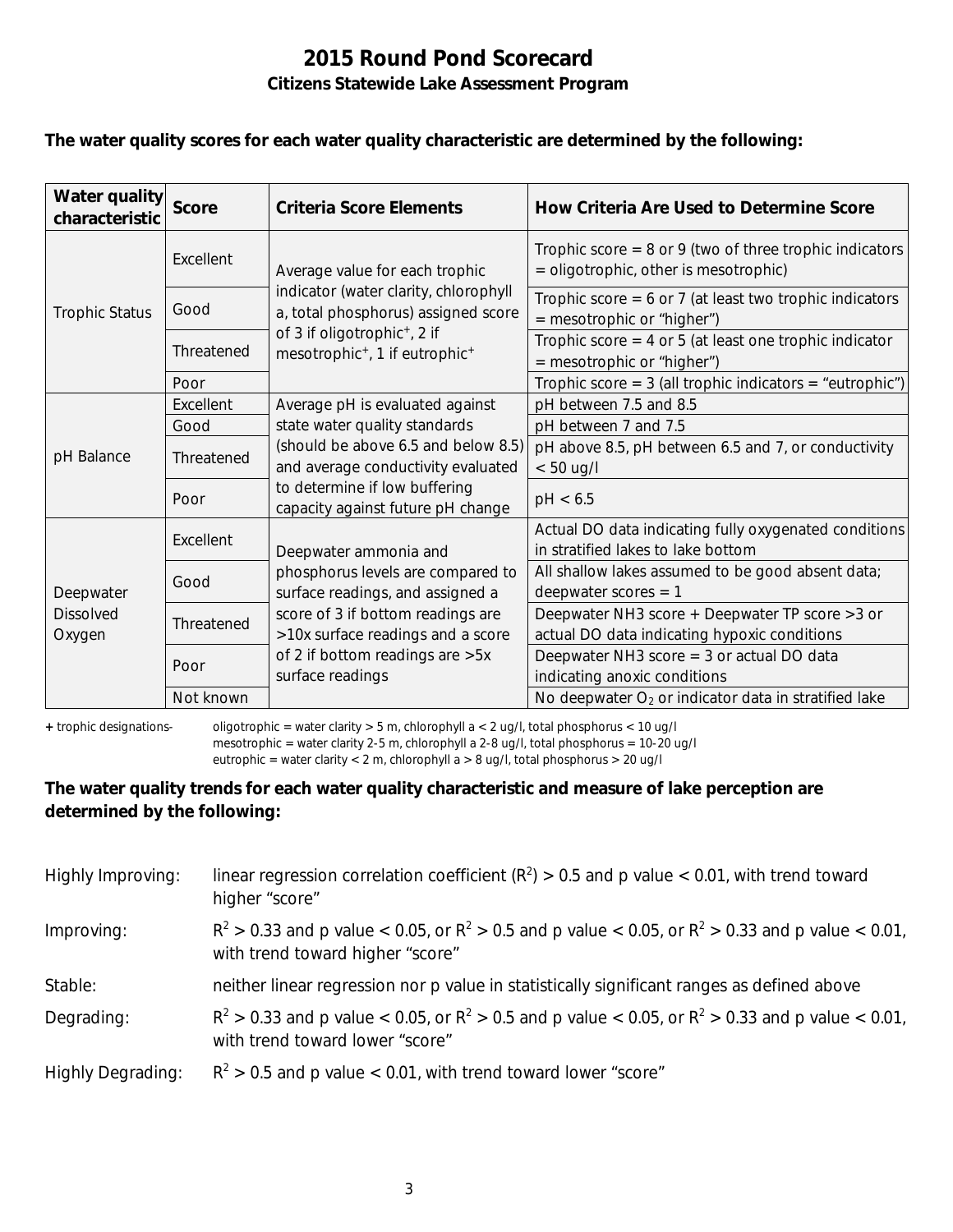#### **The water quality scores for each water quality characteristic are determined by the following:**

| Water quality<br>characteristic         | <b>Score</b> | Criteria Score Elements                                                                            | How Criteria Are Used to Determine Score                                                             |
|-----------------------------------------|--------------|----------------------------------------------------------------------------------------------------|------------------------------------------------------------------------------------------------------|
|                                         | Excellent    | Average value for each trophic                                                                     | Trophic score = $8$ or $9$ (two of three trophic indicators<br>= oligotrophic, other is mesotrophic) |
| <b>Trophic Status</b>                   | Good         | indicator (water clarity, chlorophyll<br>a, total phosphorus) assigned score                       | Trophic score = $6$ or 7 (at least two trophic indicators<br>= mesotrophic or "higher")              |
|                                         | Threatened   | of 3 if oligotrophic <sup>+</sup> , 2 if<br>mesotrophic <sup>+</sup> , 1 if eutrophic <sup>+</sup> | Trophic score $=$ 4 or 5 (at least one trophic indicator<br>= mesotrophic or "higher")               |
|                                         | Poor         |                                                                                                    | Trophic score = $3$ (all trophic indicators = "eutrophic")                                           |
|                                         | Excellent    | Average pH is evaluated against                                                                    | pH between 7.5 and 8.5                                                                               |
|                                         | Good         | state water quality standards                                                                      | pH between 7 and 7.5                                                                                 |
| pH Balance                              | Threatened   | (should be above 6.5 and below 8.5)<br>and average conductivity evaluated                          | pH above 8.5, pH between 6.5 and 7, or conductivity<br>$< 50$ ug/l                                   |
|                                         | Poor         | to determine if low buffering<br>capacity against future pH change                                 | pH < 6.5                                                                                             |
|                                         | Excellent    | Deepwater ammonia and                                                                              | Actual DO data indicating fully oxygenated conditions<br>in stratified lakes to lake bottom          |
| Deepwater<br><b>Dissolved</b><br>Oxygen | Good         | phosphorus levels are compared to<br>surface readings, and assigned a                              | All shallow lakes assumed to be good absent data;<br>deepwater scores $= 1$                          |
|                                         | Threatened   | score of 3 if bottom readings are<br>>10x surface readings and a score                             | Deepwater NH3 score + Deepwater TP score > 3 or<br>actual DO data indicating hypoxic conditions      |
|                                         | Poor         | of 2 if bottom readings are > 5x<br>surface readings                                               | Deepwater NH3 score $=$ 3 or actual DO data<br>indicating anoxic conditions                          |
|                                         | Not known    |                                                                                                    | No deepwater $O_2$ or indicator data in stratified lake                                              |

**+** trophic designations- oligotrophic = water clarity > 5 m, chlorophyll a < 2 ug/l, total phosphorus < 10 ug/l mesotrophic = water clarity 2-5 m, chlorophyll a 2-8 ug/l, total phosphorus = 10-20 ug/l

eutrophic = water clarity < 2 m, chlorophyll a > 8 ug/l, total phosphorus > 20 ug/l

#### **The water quality trends for each water quality characteristic and measure of lake perception are determined by the following:**

| Highly Improving:        | linear regression correlation coefficient ( $R^2$ ) > 0.5 and p value < 0.01, with trend toward<br>higher "score"                           |
|--------------------------|---------------------------------------------------------------------------------------------------------------------------------------------|
| Improving:               | $R^2 > 0.33$ and p value < 0.05, or $R^2 > 0.5$ and p value < 0.05, or $R^2 > 0.33$ and p value < 0.01,<br>with trend toward higher "score" |
| Stable:                  | neither linear regression nor p value in statistically significant ranges as defined above                                                  |
| Degrading:               | $R^2 > 0.33$ and p value < 0.05, or $R^2 > 0.5$ and p value < 0.05, or $R^2 > 0.33$ and p value < 0.01,<br>with trend toward lower "score"  |
| <b>Highly Degrading:</b> | $R^2 > 0.5$ and p value < 0.01, with trend toward lower "score"                                                                             |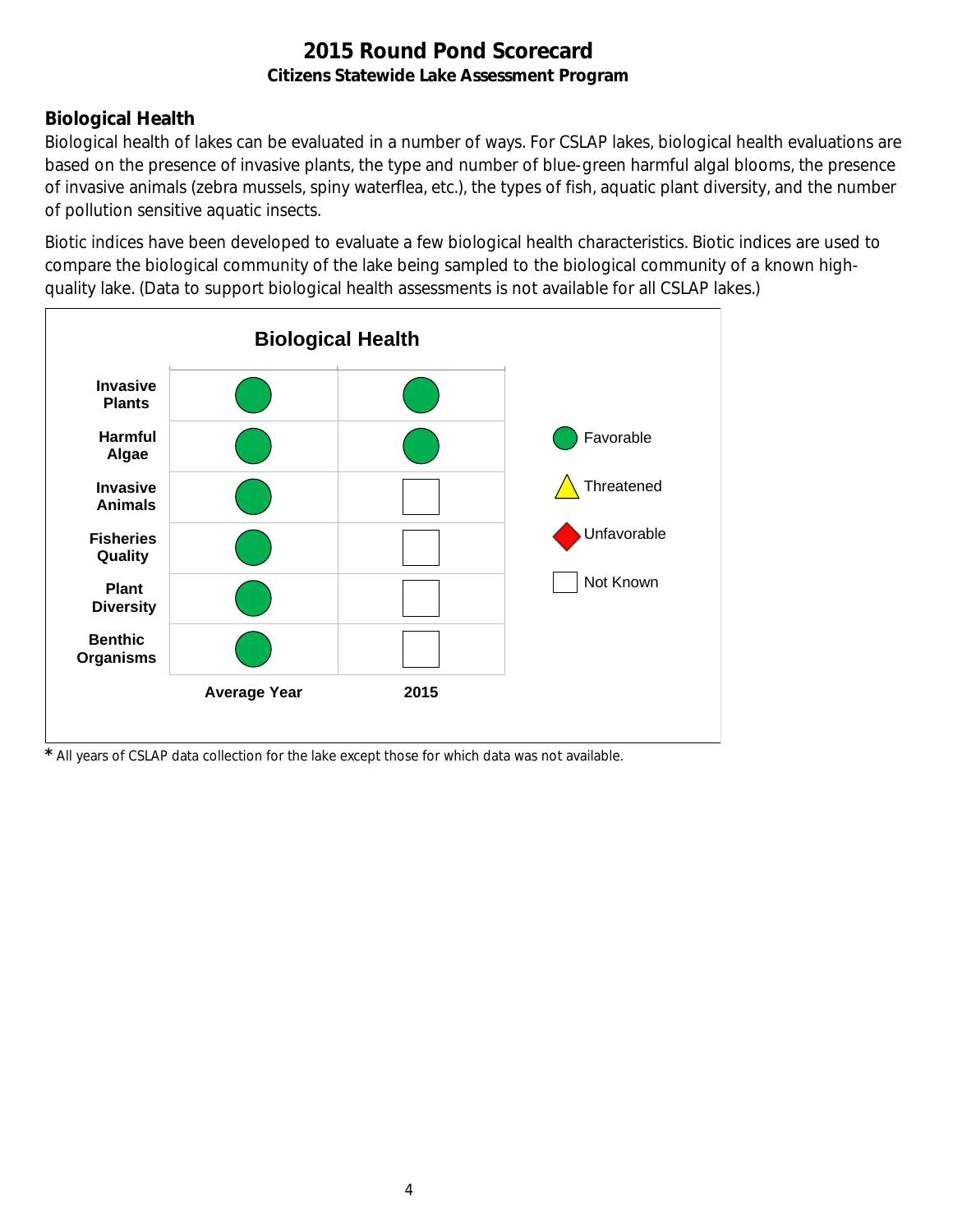## **Biological Health**

Biological health of lakes can be evaluated in a number of ways. For CSLAP lakes, biological health evaluations are based on the presence of invasive plants, the type and number of blue-green harmful algal blooms, the presence of invasive animals (zebra mussels, spiny waterflea, etc.), the types of fish, aquatic plant diversity, and the number of pollution sensitive aquatic insects.

Biotic indices have been developed to evaluate a few biological health characteristics. Biotic indices are used to compare the biological community of the lake being sampled to the biological community of a known highquality lake. (Data to support biological health assessments is not available for all CSLAP lakes.)



*\** All years of CSLAP data collection for the lake except those for which data was not available.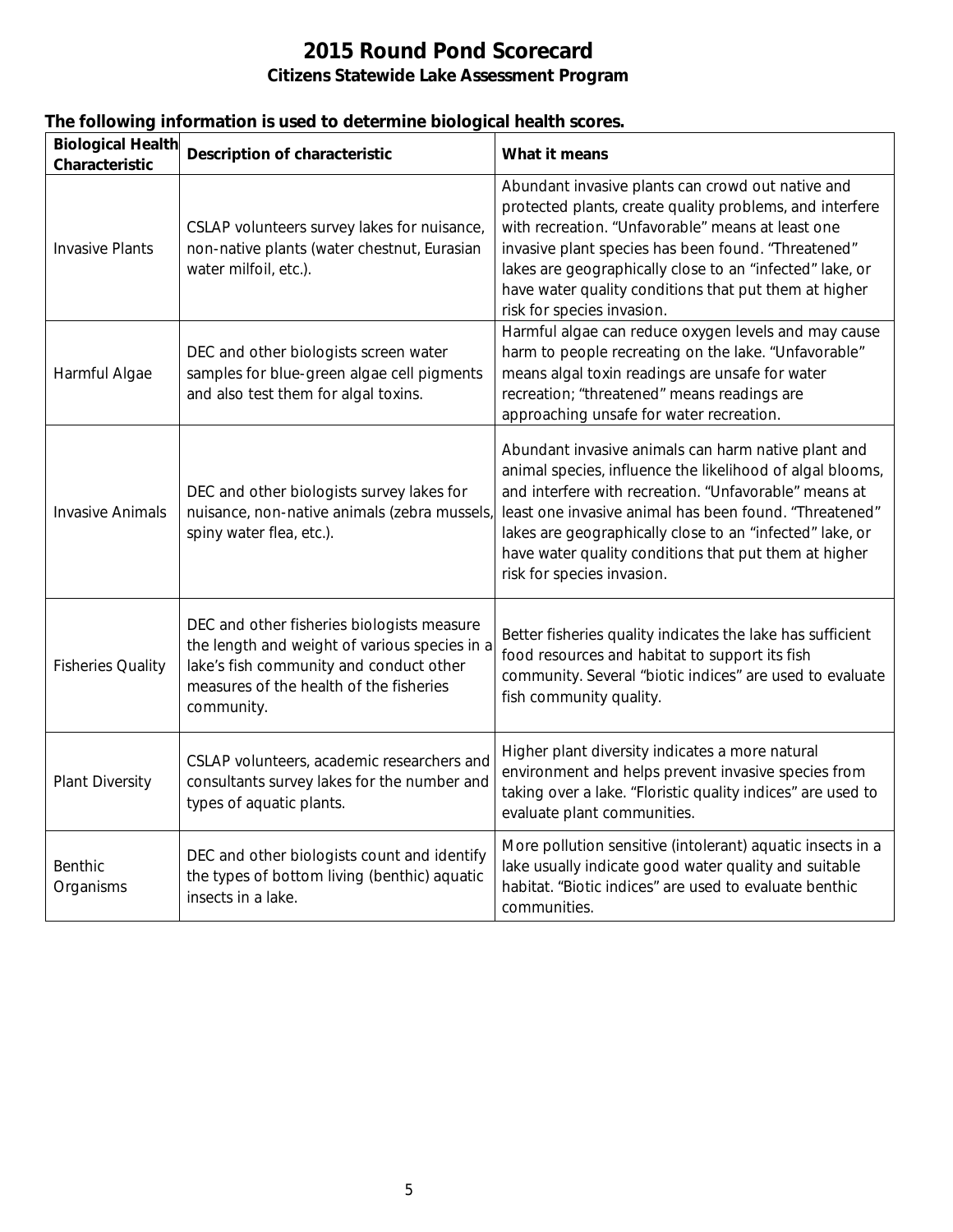|  |  |  | The following information is used to determine biological health scores. |
|--|--|--|--------------------------------------------------------------------------|
|  |  |  |                                                                          |

| <b>Biological Health</b><br>Characteristic | <b>Description of characteristic</b>                                                                                                                                                            | What it means                                                                                                                                                                                                                                                                                                                                                                          |
|--------------------------------------------|-------------------------------------------------------------------------------------------------------------------------------------------------------------------------------------------------|----------------------------------------------------------------------------------------------------------------------------------------------------------------------------------------------------------------------------------------------------------------------------------------------------------------------------------------------------------------------------------------|
| <b>Invasive Plants</b>                     | CSLAP volunteers survey lakes for nuisance,<br>non-native plants (water chestnut, Eurasian<br>water milfoil, etc.).                                                                             | Abundant invasive plants can crowd out native and<br>protected plants, create quality problems, and interfere<br>with recreation. "Unfavorable" means at least one<br>invasive plant species has been found. "Threatened"<br>lakes are geographically close to an "infected" lake, or<br>have water quality conditions that put them at higher<br>risk for species invasion.           |
| Harmful Algae                              | DEC and other biologists screen water<br>samples for blue-green algae cell pigments<br>and also test them for algal toxins.                                                                     | Harmful algae can reduce oxygen levels and may cause<br>harm to people recreating on the lake. "Unfavorable"<br>means algal toxin readings are unsafe for water<br>recreation; "threatened" means readings are<br>approaching unsafe for water recreation.                                                                                                                             |
| <b>Invasive Animals</b>                    | DEC and other biologists survey lakes for<br>nuisance, non-native animals (zebra mussels,<br>spiny water flea, etc.).                                                                           | Abundant invasive animals can harm native plant and<br>animal species, influence the likelihood of algal blooms,<br>and interfere with recreation. "Unfavorable" means at<br>least one invasive animal has been found. "Threatened"<br>lakes are geographically close to an "infected" lake, or<br>have water quality conditions that put them at higher<br>risk for species invasion. |
| <b>Fisheries Quality</b>                   | DEC and other fisheries biologists measure<br>the length and weight of various species in a<br>lake's fish community and conduct other<br>measures of the health of the fisheries<br>community. | Better fisheries quality indicates the lake has sufficient<br>food resources and habitat to support its fish<br>community. Several "biotic indices" are used to evaluate<br>fish community quality.                                                                                                                                                                                    |
| <b>Plant Diversity</b>                     | CSLAP volunteers, academic researchers and<br>consultants survey lakes for the number and<br>types of aquatic plants.                                                                           | Higher plant diversity indicates a more natural<br>environment and helps prevent invasive species from<br>taking over a lake. "Floristic quality indices" are used to<br>evaluate plant communities.                                                                                                                                                                                   |
| <b>Benthic</b><br>Organisms                | DEC and other biologists count and identify<br>the types of bottom living (benthic) aquatic<br>insects in a lake.                                                                               | More pollution sensitive (intolerant) aquatic insects in a<br>lake usually indicate good water quality and suitable<br>habitat. "Biotic indices" are used to evaluate benthic<br>communities.                                                                                                                                                                                          |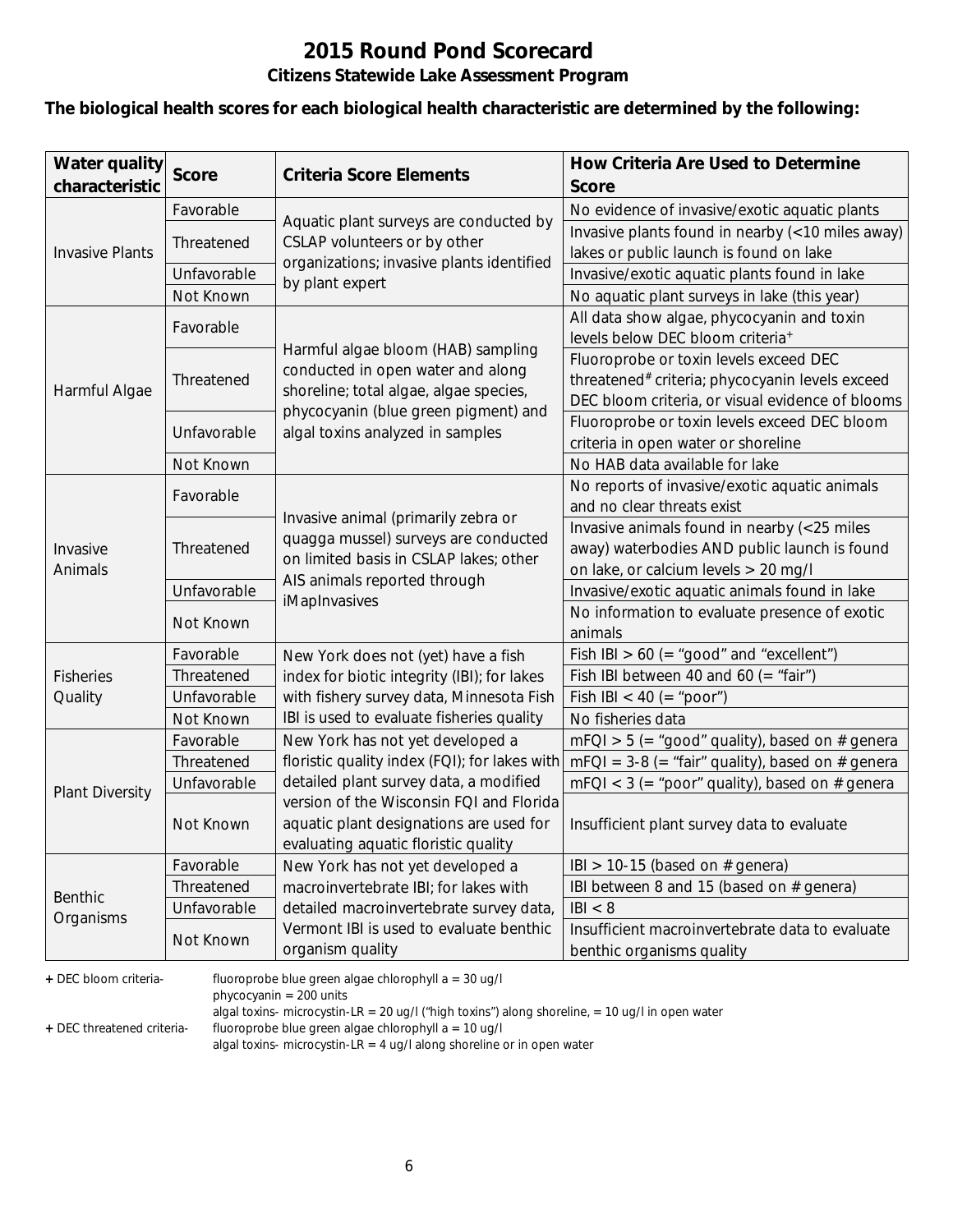# **2015 Round Pond Scorecard**

#### **Citizens Statewide Lake Assessment Program**

#### **The biological health scores for each biological health characteristic are determined by the following:**

| <b>Water quality</b><br>characteristic | <b>Score</b> | <b>Criteria Score Elements</b>                                          | How Criteria Are Used to Determine<br><b>Score</b>          |
|----------------------------------------|--------------|-------------------------------------------------------------------------|-------------------------------------------------------------|
|                                        | Favorable    |                                                                         | No evidence of invasive/exotic aquatic plants               |
|                                        |              | Aquatic plant surveys are conducted by<br>CSLAP volunteers or by other  | Invasive plants found in nearby (<10 miles away)            |
| <b>Invasive Plants</b>                 | Threatened   |                                                                         | lakes or public launch is found on lake                     |
|                                        | Unfavorable  | organizations; invasive plants identified                               | Invasive/exotic aquatic plants found in lake                |
|                                        | Not Known    | by plant expert                                                         | No aquatic plant surveys in lake (this year)                |
|                                        | Favorable    |                                                                         | All data show algae, phycocyanin and toxin                  |
|                                        |              |                                                                         | levels below DEC bloom criteria <sup>+</sup>                |
|                                        |              | Harmful algae bloom (HAB) sampling<br>conducted in open water and along | Fluoroprobe or toxin levels exceed DEC                      |
| Harmful Algae                          | Threatened   | shoreline; total algae, algae species,                                  | threatened <sup>#</sup> criteria; phycocyanin levels exceed |
|                                        |              | phycocyanin (blue green pigment) and                                    | DEC bloom criteria, or visual evidence of blooms            |
|                                        | Unfavorable  | algal toxins analyzed in samples                                        | Fluoroprobe or toxin levels exceed DEC bloom                |
|                                        |              |                                                                         | criteria in open water or shoreline                         |
|                                        | Not Known    |                                                                         | No HAB data available for lake                              |
|                                        | Favorable    |                                                                         | No reports of invasive/exotic aquatic animals               |
|                                        |              | Invasive animal (primarily zebra or                                     | and no clear threats exist                                  |
|                                        | Threatened   | quagga mussel) surveys are conducted                                    | Invasive animals found in nearby (<25 miles                 |
| Invasive                               |              | on limited basis in CSLAP lakes; other                                  | away) waterbodies AND public launch is found                |
| Animals                                |              | AIS animals reported through                                            | on lake, or calcium levels > 20 mg/l                        |
|                                        | Unfavorable  | iMapInvasives                                                           | Invasive/exotic aquatic animals found in lake               |
|                                        | Not Known    |                                                                         | No information to evaluate presence of exotic               |
|                                        |              |                                                                         | animals                                                     |
|                                        | Favorable    | New York does not (yet) have a fish                                     | Fish IBI $> 60$ (= "good" and "excellent")                  |
| <b>Fisheries</b>                       | Threatened   | index for biotic integrity (IBI); for lakes                             | Fish IBI between 40 and 60 (= "fair")                       |
| Quality                                | Unfavorable  | with fishery survey data, Minnesota Fish                                | Fish IBI < 40 (= "poor")                                    |
|                                        | Not Known    | IBI is used to evaluate fisheries quality                               | No fisheries data                                           |
|                                        | Favorable    | New York has not yet developed a                                        | $mFQI > 5$ (= "good" quality), based on # genera            |
|                                        | Threatened   | floristic quality index (FQI); for lakes with                           | $mFQI = 3-8 (= "fair" quality)$ , based on # genera         |
| <b>Plant Diversity</b>                 | Unfavorable  | detailed plant survey data, a modified                                  | $mFQI < 3$ (= "poor" quality), based on # genera            |
|                                        |              | version of the Wisconsin FQI and Florida                                |                                                             |
|                                        | Not Known    | aquatic plant designations are used for                                 | Insufficient plant survey data to evaluate                  |
|                                        |              | evaluating aquatic floristic quality                                    |                                                             |
|                                        | Favorable    | New York has not yet developed a                                        | IBI > 10-15 (based on $#$ genera)                           |
| <b>Benthic</b>                         | Threatened   | macroinvertebrate IBI; for lakes with                                   | IBI between 8 and 15 (based on # genera)                    |
| Organisms                              | Unfavorable  | detailed macroinvertebrate survey data,                                 | B  < 8                                                      |
|                                        | Not Known    | Vermont IBI is used to evaluate benthic                                 | Insufficient macroinvertebrate data to evaluate             |
|                                        |              | organism quality                                                        | benthic organisms quality                                   |

**+** DEC bloom criteria- fluoroprobe blue green algae chlorophyll a = 30 ug/l

phycocyanin = 200 units

algal toxins- microcystin-LR = 20 ug/l ("high toxins") along shoreline, = 10 ug/l in open water

**+** DEC threatened criteria- fluoroprobe blue green algae chlorophyll a = 10 ug/l

algal toxins- microcystin-LR = 4 ug/l along shoreline or in open water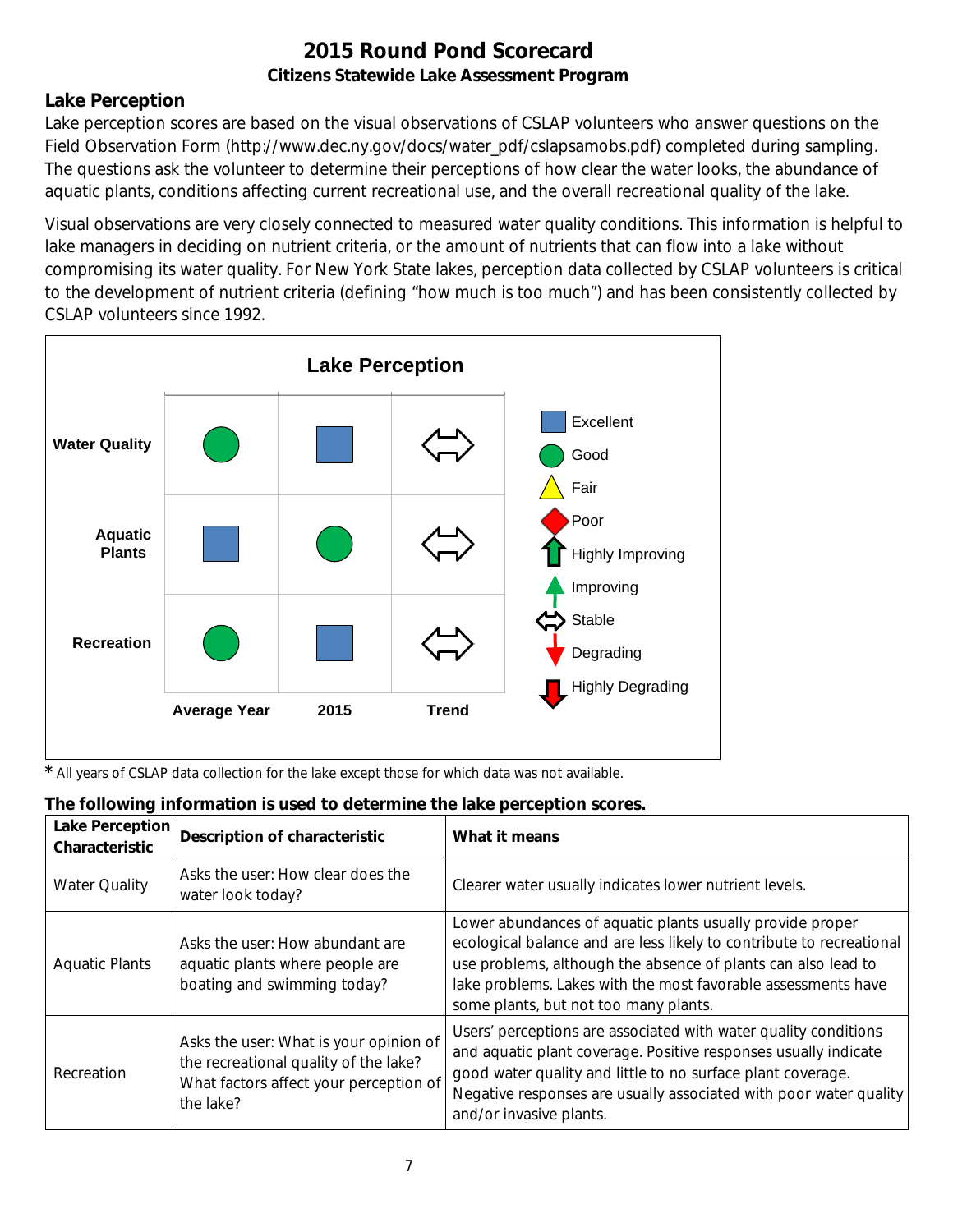## **Lake Perception**

Lake perception scores are based on the visual observations of CSLAP volunteers who answer questions on the Field Observation Form (http://www.dec.ny.gov/docs/water\_pdf/cslapsamobs.pdf) completed during sampling. The questions ask the volunteer to determine their perceptions of how clear the water looks, the abundance of aquatic plants, conditions affecting current recreational use, and the overall recreational quality of the lake.

Visual observations are very closely connected to measured water quality conditions. This information is helpful to lake managers in deciding on nutrient criteria, or the amount of nutrients that can flow into a lake without compromising its water quality. For New York State lakes, perception data collected by CSLAP volunteers is critical to the development of nutrient criteria (defining "how much is too much") and has been consistently collected by CSLAP volunteers since 1992.



*\** All years of CSLAP data collection for the lake except those for which data was not available.

| The following information is used to determine the lake perception scores. |  |  |  |
|----------------------------------------------------------------------------|--|--|--|
|                                                                            |  |  |  |

| Lake Perception<br>Characteristic | <b>Description of characteristic</b>                                                                                                   | What it means                                                                                                                                                                                                                                                                                                |
|-----------------------------------|----------------------------------------------------------------------------------------------------------------------------------------|--------------------------------------------------------------------------------------------------------------------------------------------------------------------------------------------------------------------------------------------------------------------------------------------------------------|
| <b>Water Quality</b>              | Asks the user: How clear does the<br>water look today?                                                                                 | Clearer water usually indicates lower nutrient levels.                                                                                                                                                                                                                                                       |
| <b>Aquatic Plants</b>             | Asks the user: How abundant are<br>aquatic plants where people are<br>boating and swimming today?                                      | Lower abundances of aquatic plants usually provide proper<br>ecological balance and are less likely to contribute to recreational<br>use problems, although the absence of plants can also lead to<br>lake problems. Lakes with the most favorable assessments have<br>some plants, but not too many plants. |
| Recreation                        | Asks the user: What is your opinion of<br>the recreational quality of the lake?<br>What factors affect your perception of<br>the lake? | Users' perceptions are associated with water quality conditions<br>and aquatic plant coverage. Positive responses usually indicate<br>good water quality and little to no surface plant coverage.<br>Negative responses are usually associated with poor water quality<br>and/or invasive plants.            |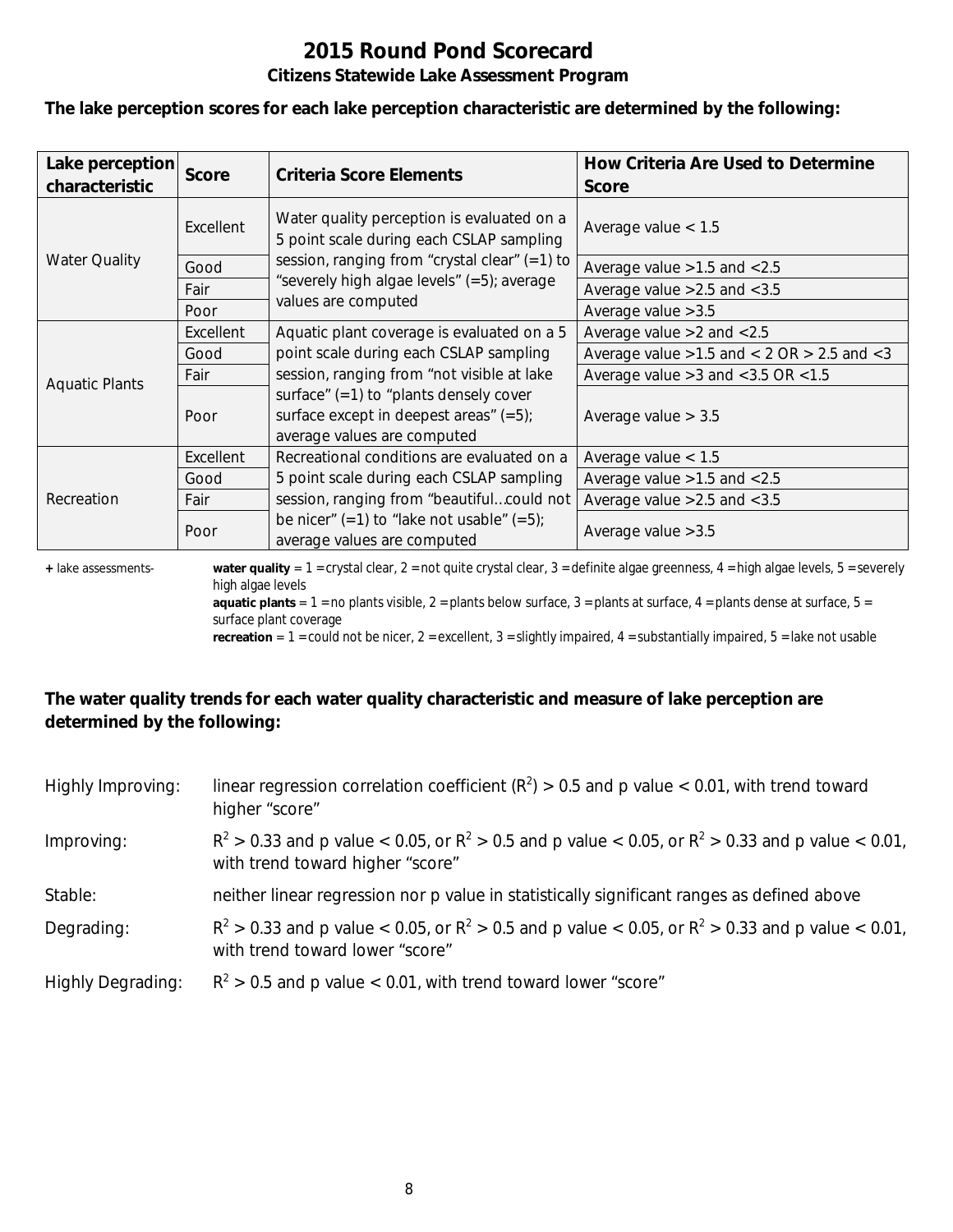# **2015 Round Pond Scorecard**

#### **Citizens Statewide Lake Assessment Program**

**The lake perception scores for each lake perception characteristic are determined by the following:**

| Lake perception<br>characteristic | <b>Score</b> | Criteria Score Elements                                                                                              | How Criteria Are Used to Determine<br><b>Score</b>  |
|-----------------------------------|--------------|----------------------------------------------------------------------------------------------------------------------|-----------------------------------------------------|
|                                   | Excellent    | Water quality perception is evaluated on a<br>5 point scale during each CSLAP sampling                               | Average value $< 1.5$                               |
| <b>Water Quality</b>              | Good         | session, ranging from "crystal clear" (=1) to                                                                        | Average value $>1.5$ and $< 2.5$                    |
|                                   | Fair         | "severely high algae levels" (=5); average                                                                           | Average value $>2.5$ and $< 3.5$                    |
|                                   | Poor         | values are computed                                                                                                  | Average value $>3.5$                                |
|                                   | Excellent    | Aquatic plant coverage is evaluated on a 5                                                                           | Average value $>2$ and $< 2.5$                      |
|                                   | Good         | point scale during each CSLAP sampling                                                                               | Average value $>1.5$ and $< 2$ OR $> 2.5$ and $< 3$ |
| <b>Aquatic Plants</b>             | Fair         | session, ranging from "not visible at lake                                                                           | Average value $>3$ and $<$ 3.5 OR $<$ 1.5           |
|                                   | Poor         | surface" $(=1)$ to "plants densely cover<br>surface except in deepest areas" $(=5)$ ;<br>average values are computed | Average value $> 3.5$                               |
|                                   | Excellent    | Recreational conditions are evaluated on a                                                                           | Average value $< 1.5$                               |
|                                   | Good         | 5 point scale during each CSLAP sampling                                                                             | Average value $>1.5$ and $< 2.5$                    |
| Recreation                        | Fair         | session, ranging from "beautifulcould not                                                                            | Average value $>2.5$ and $< 3.5$                    |
|                                   | Poor         | be nicer" $(=1)$ to "lake not usable" $(=5)$ ;<br>average values are computed                                        | Average value $>3.5$                                |

**+** lake assessments- **water quality** = 1 = crystal clear, 2 = not quite crystal clear, 3 = definite algae greenness, 4 = high algae levels, 5 = severely high algae levels

**aquatic plants** =  $1$  = no plants visible,  $2$  = plants below surface,  $3$  = plants at surface,  $4$  = plants dense at surface,  $5$  = surface plant coverage

**recreation** = 1 = could not be nicer, 2 = excellent, 3 = slightly impaired, 4 = substantially impaired, 5 = lake not usable

## **The water quality trends for each water quality characteristic and measure of lake perception are determined by the following:**

| Highly Improving:        | linear regression correlation coefficient ( $R^2$ ) > 0.5 and p value < 0.01, with trend toward<br>higher "score"                           |
|--------------------------|---------------------------------------------------------------------------------------------------------------------------------------------|
| Improving:               | $R^2 > 0.33$ and p value < 0.05, or $R^2 > 0.5$ and p value < 0.05, or $R^2 > 0.33$ and p value < 0.01,<br>with trend toward higher "score" |
| Stable:                  | neither linear regression nor p value in statistically significant ranges as defined above                                                  |
| Degrading:               | $R^2 > 0.33$ and p value < 0.05, or $R^2 > 0.5$ and p value < 0.05, or $R^2 > 0.33$ and p value < 0.01,<br>with trend toward lower "score"  |
| <b>Highly Degrading:</b> | $R^2 > 0.5$ and p value < 0.01, with trend toward lower "score"                                                                             |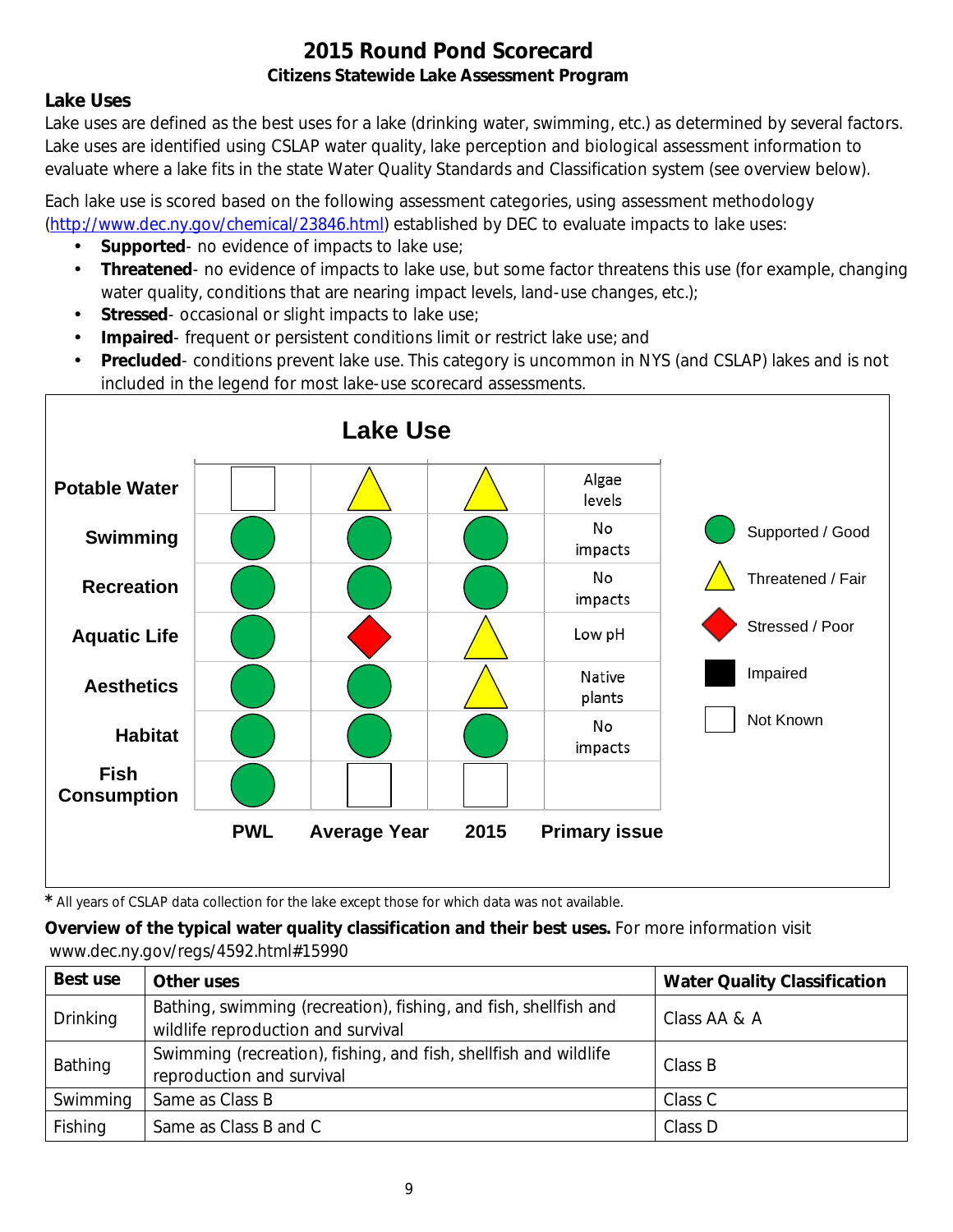## **Lake Uses**

Lake uses are defined as the best uses for a lake (drinking water, swimming, etc.) as determined by several factors. Lake uses are identified using CSLAP water quality, lake perception and biological assessment information to evaluate where a lake fits in the state Water Quality Standards and Classification system (see overview below).

Each lake use is scored based on the following assessment categories, using assessment methodology [\(http://www.dec.ny.gov/chemical/23846.html\)](http://www.dec.ny.gov/chemical/23846.html) established by DEC to evaluate impacts to lake uses:

- **Supported** no evidence of impacts to lake use;
- $\mathcal{L}^{\mathcal{L}}$ **Threatened**- no evidence of impacts to lake use, but some factor threatens this use (for example, changing water quality, conditions that are nearing impact levels, land-use changes, etc.);
- **Stressed** occasional or slight impacts to lake use;  $\mathbf{r}$
- **Impaired** frequent or persistent conditions limit or restrict lake use; and  $\mathbf{r}$
- **Precluded** conditions prevent lake use. This category is uncommon in NYS (and CSLAP) lakes and is not included in the legend for most lake-use scorecard assessments.



*\** All years of CSLAP data collection for the lake except those for which data was not available.

**Overview of the typical water quality classification and their best uses.** For more information visit www.dec.ny.gov/regs/4592.html#15990

| Best use        | Other uses                                                                                             | <b>Water Quality Classification</b> |
|-----------------|--------------------------------------------------------------------------------------------------------|-------------------------------------|
| <b>Drinking</b> | Bathing, swimming (recreation), fishing, and fish, shellfish and<br>wildlife reproduction and survival | Class AA & A                        |
| Bathing         | Swimming (recreation), fishing, and fish, shellfish and wildlife<br>reproduction and survival          | Class B                             |
| Swimming        | Same as Class B                                                                                        | Class C                             |
| Fishing         | Same as Class B and C                                                                                  | Class D                             |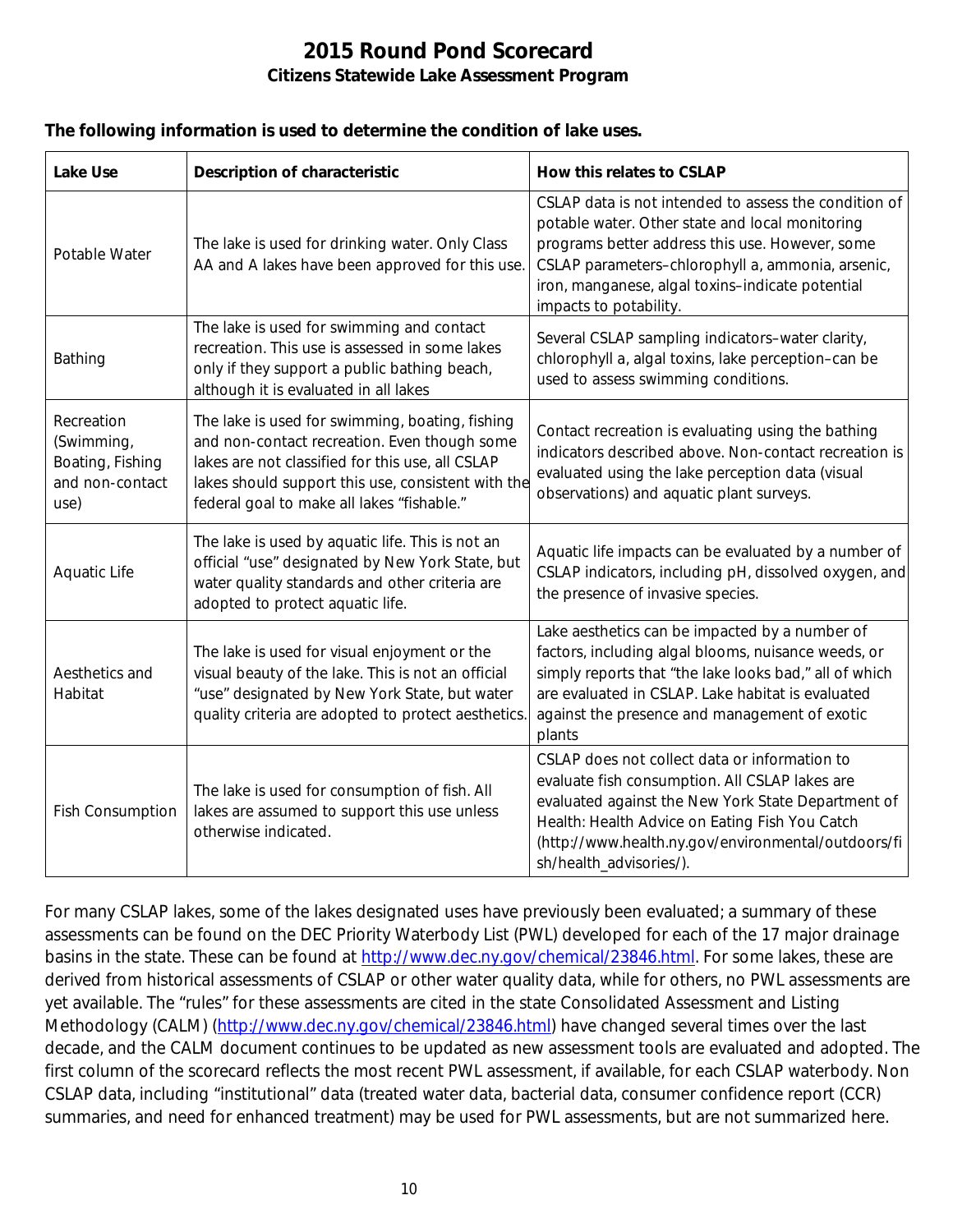#### **The following information is used to determine the condition of lake uses.**

| <b>Lake Use</b>                                                         | <b>Description of characteristic</b>                                                                                                                                                                                                                    | How this relates to CSLAP                                                                                                                                                                                                                                                                      |
|-------------------------------------------------------------------------|---------------------------------------------------------------------------------------------------------------------------------------------------------------------------------------------------------------------------------------------------------|------------------------------------------------------------------------------------------------------------------------------------------------------------------------------------------------------------------------------------------------------------------------------------------------|
| Potable Water                                                           | The lake is used for drinking water. Only Class<br>AA and A lakes have been approved for this use.                                                                                                                                                      | CSLAP data is not intended to assess the condition of<br>potable water. Other state and local monitoring<br>programs better address this use. However, some<br>CSLAP parameters-chlorophyll a, ammonia, arsenic,<br>iron, manganese, algal toxins-indicate potential<br>impacts to potability. |
| Bathing                                                                 | The lake is used for swimming and contact<br>recreation. This use is assessed in some lakes<br>only if they support a public bathing beach,<br>although it is evaluated in all lakes                                                                    | Several CSLAP sampling indicators-water clarity,<br>chlorophyll a, algal toxins, lake perception-can be<br>used to assess swimming conditions.                                                                                                                                                 |
| Recreation<br>(Swimming,<br>Boating, Fishing<br>and non-contact<br>use) | The lake is used for swimming, boating, fishing<br>and non-contact recreation. Even though some<br>lakes are not classified for this use, all CSLAP<br>lakes should support this use, consistent with the<br>federal goal to make all lakes "fishable." | Contact recreation is evaluating using the bathing<br>indicators described above. Non-contact recreation is<br>evaluated using the lake perception data (visual<br>observations) and aquatic plant surveys.                                                                                    |
| Aquatic Life                                                            | The lake is used by aquatic life. This is not an<br>official "use" designated by New York State, but<br>water quality standards and other criteria are<br>adopted to protect aquatic life.                                                              | Aquatic life impacts can be evaluated by a number of<br>CSLAP indicators, including pH, dissolved oxygen, and<br>the presence of invasive species.                                                                                                                                             |
| Aesthetics and<br>Habitat                                               | The lake is used for visual enjoyment or the<br>visual beauty of the lake. This is not an official<br>"use" designated by New York State, but water<br>quality criteria are adopted to protect aesthetics.                                              | Lake aesthetics can be impacted by a number of<br>factors, including algal blooms, nuisance weeds, or<br>simply reports that "the lake looks bad," all of which<br>are evaluated in CSLAP. Lake habitat is evaluated<br>against the presence and management of exotic<br>plants                |
| <b>Fish Consumption</b>                                                 | The lake is used for consumption of fish. All<br>lakes are assumed to support this use unless<br>otherwise indicated.                                                                                                                                   | CSLAP does not collect data or information to<br>evaluate fish consumption. All CSLAP lakes are<br>evaluated against the New York State Department of<br>Health: Health Advice on Eating Fish You Catch<br>(http://www.health.ny.gov/environmental/outdoors/fi<br>sh/health_advisories/).      |

For many CSLAP lakes, some of the lakes designated uses have previously been evaluated; a summary of these assessments can be found on the DEC Priority Waterbody List (PWL) developed for each of the 17 major drainage basins in the state. These can be found at [http://www.dec.ny.gov/chemical/23846.html.](http://www.dec.ny.gov/chemical/23846.html) For some lakes, these are derived from historical assessments of CSLAP or other water quality data, while for others, no PWL assessments are yet available. The "rules" for these assessments are cited in the state Consolidated Assessment and Listing Methodology (CALM) [\(http://www.dec.ny.gov/chemical/23846.html\)](http://www.dec.ny.gov/chemical/23846.html) have changed several times over the last decade, and the CALM document continues to be updated as new assessment tools are evaluated and adopted. The first column of the scorecard reflects the most recent PWL assessment, if available, for each CSLAP waterbody. Non CSLAP data, including "institutional" data (treated water data, bacterial data, consumer confidence report (CCR) summaries, and need for enhanced treatment) may be used for PWL assessments, but are not summarized here.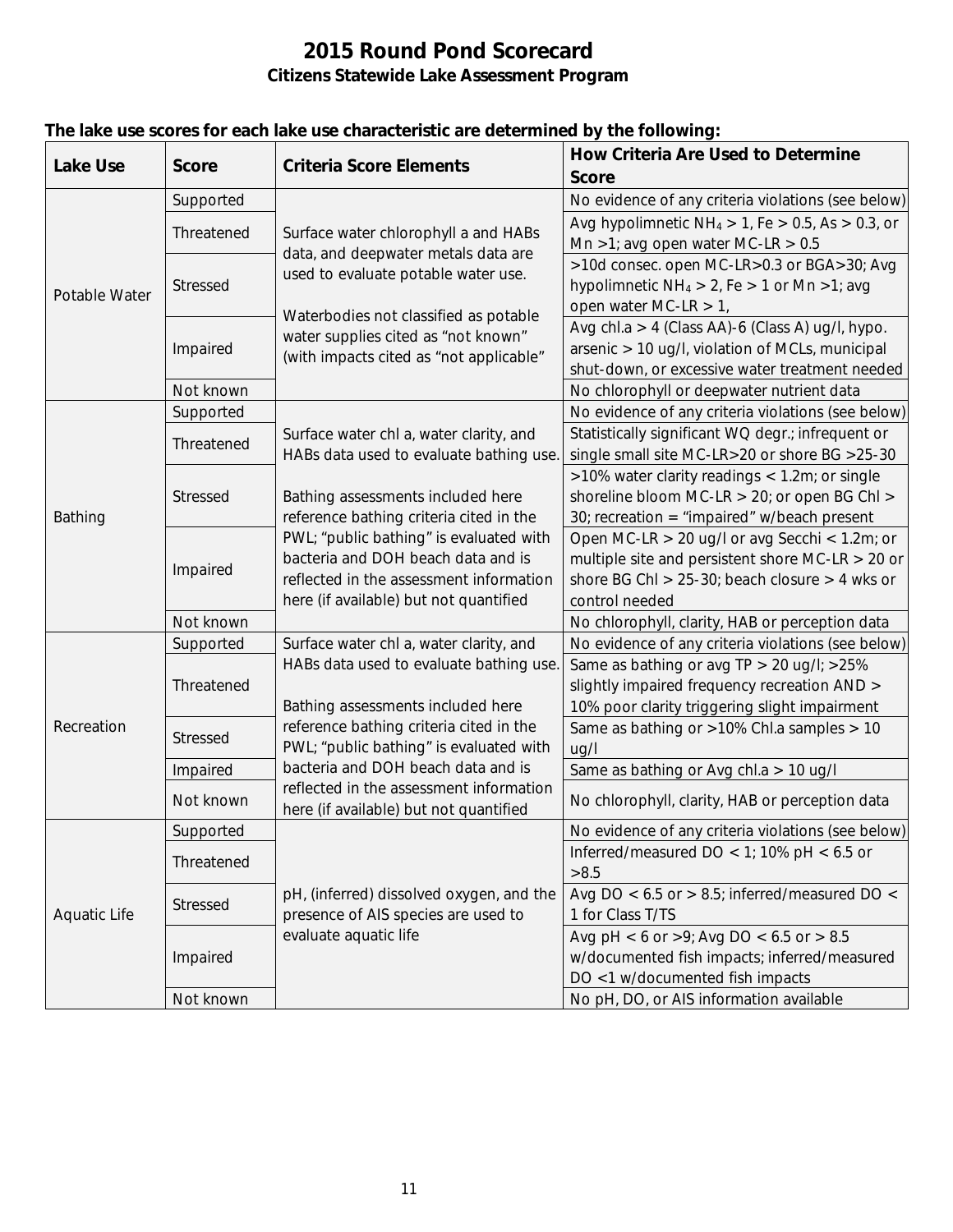| <b>Lake Use</b>     | <b>Score</b>    | <b>Criteria Score Elements</b>                                                                                     | <b>How Criteria Are Used to Determine</b>                  |
|---------------------|-----------------|--------------------------------------------------------------------------------------------------------------------|------------------------------------------------------------|
|                     |                 |                                                                                                                    | <b>Score</b>                                               |
|                     | Supported       | Surface water chlorophyll a and HABs<br>data, and deepwater metals data are<br>used to evaluate potable water use. | No evidence of any criteria violations (see below)         |
|                     | Threatened      |                                                                                                                    | Avg hypolimnetic $NH_4 > 1$ , Fe $> 0.5$ , As $> 0.3$ , or |
| Potable Water       |                 |                                                                                                                    | Mn >1; avg open water MC-LR > $0.5$                        |
|                     | Stressed        |                                                                                                                    | >10d consec. open MC-LR>0.3 or BGA>30; Avg                 |
|                     |                 |                                                                                                                    | hypolimnetic $NH_4 > 2$ , Fe $> 1$ or Mn $>1$ ; avg        |
|                     |                 | Waterbodies not classified as potable                                                                              | open water MC-LR $> 1$ ,                                   |
|                     | Impaired        | water supplies cited as "not known"                                                                                | Avg chl.a > 4 (Class AA)-6 (Class A) ug/l, hypo.           |
|                     |                 | (with impacts cited as "not applicable"                                                                            | arsenic > 10 ug/l, violation of MCLs, municipal            |
|                     |                 |                                                                                                                    | shut-down, or excessive water treatment needed             |
|                     | Not known       |                                                                                                                    | No chlorophyll or deepwater nutrient data                  |
|                     | Supported       | Surface water chl a, water clarity, and                                                                            | No evidence of any criteria violations (see below)         |
|                     | Threatened      |                                                                                                                    | Statistically significant WQ degr.; infrequent or          |
|                     |                 | HABs data used to evaluate bathing use.                                                                            | single small site MC-LR>20 or shore BG >25-30              |
|                     | Stressed        |                                                                                                                    | >10% water clarity readings < 1.2m; or single              |
|                     |                 | Bathing assessments included here                                                                                  | shoreline bloom MC-LR > 20; or open BG Chl >               |
| Bathing             |                 | reference bathing criteria cited in the                                                                            | 30; recreation = "impaired" w/beach present                |
|                     | Impaired        | PWL; "public bathing" is evaluated with                                                                            | Open MC-LR $>$ 20 ug/l or avg Secchi < 1.2m; or            |
|                     |                 | bacteria and DOH beach data and is                                                                                 | multiple site and persistent shore MC-LR $>$ 20 or         |
|                     |                 | reflected in the assessment information                                                                            | shore BG ChI $> 25-30$ ; beach closure $> 4$ wks or        |
|                     |                 | here (if available) but not quantified                                                                             | control needed                                             |
|                     | Not known       |                                                                                                                    | No chlorophyll, clarity, HAB or perception data            |
|                     | Supported       | Surface water chl a, water clarity, and                                                                            | No evidence of any criteria violations (see below)         |
|                     | Threatened      | HABs data used to evaluate bathing use.                                                                            | Same as bathing or avg TP > 20 ug/l; > 25%                 |
|                     |                 |                                                                                                                    | slightly impaired frequency recreation AND >               |
|                     |                 | Bathing assessments included here                                                                                  | 10% poor clarity triggering slight impairment              |
| Recreation          | <b>Stressed</b> | reference bathing criteria cited in the                                                                            | Same as bathing or >10% Chl.a samples > 10                 |
|                     |                 | PWL; "public bathing" is evaluated with                                                                            | ug/l                                                       |
|                     | Impaired        | bacteria and DOH beach data and is                                                                                 | Same as bathing or Avg chl.a > 10 ug/l                     |
|                     | Not known       | reflected in the assessment information<br>here (if available) but not quantified                                  | No chlorophyll, clarity, HAB or perception data            |
|                     | Supported       |                                                                                                                    | No evidence of any criteria violations (see below)         |
|                     |                 |                                                                                                                    | Inferred/measured DO < 1; 10% pH < $6.5$ or                |
|                     | Threatened      |                                                                                                                    | >8.5                                                       |
|                     | <b>Stressed</b> | pH, (inferred) dissolved oxygen, and the                                                                           | Avg DO < $6.5$ or > $8.5$ ; inferred/measured DO <         |
| <b>Aquatic Life</b> |                 | presence of AIS species are used to                                                                                | 1 for Class T/TS                                           |
|                     | Impaired        | evaluate aquatic life                                                                                              | Avg pH < 6 or >9; Avg DO < $6.5$ or > 8.5                  |
|                     |                 |                                                                                                                    | w/documented fish impacts; inferred/measured               |
|                     |                 |                                                                                                                    | DO <1 w/documented fish impacts                            |
|                     | Not known       |                                                                                                                    | No pH, DO, or AIS information available                    |

## **The lake use scores for each lake use characteristic are determined by the following:**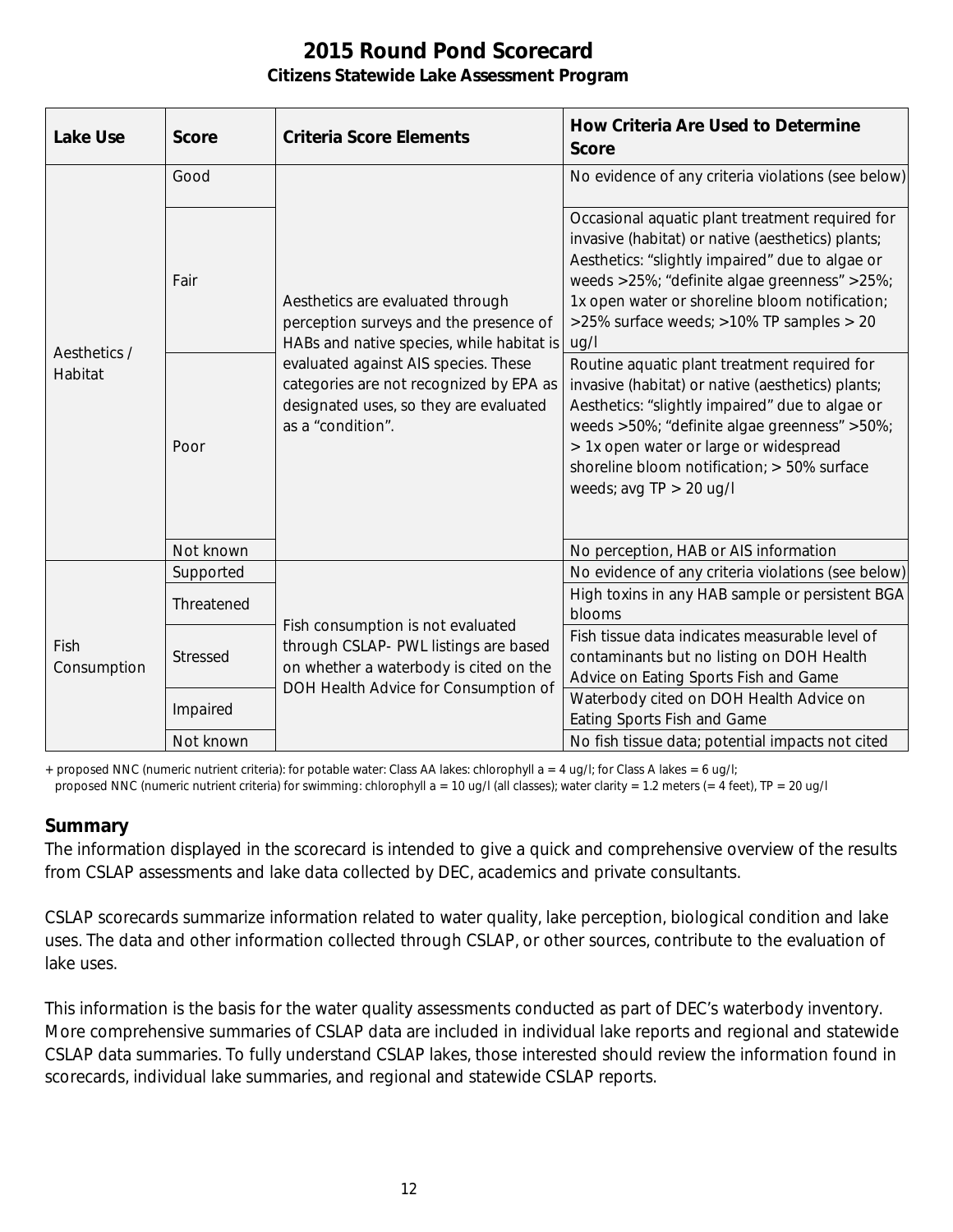| <b>Lake Use</b>         | <b>Score</b>    | <b>Criteria Score Elements</b>                                                                                                                                                                                                                                            | <b>How Criteria Are Used to Determine</b><br><b>Score</b>                                                                                                                                                                                                                                                                  |
|-------------------------|-----------------|---------------------------------------------------------------------------------------------------------------------------------------------------------------------------------------------------------------------------------------------------------------------------|----------------------------------------------------------------------------------------------------------------------------------------------------------------------------------------------------------------------------------------------------------------------------------------------------------------------------|
| Aesthetics /<br>Habitat | Good            | Aesthetics are evaluated through<br>perception surveys and the presence of<br>HABs and native species, while habitat is<br>evaluated against AIS species. These<br>categories are not recognized by EPA as<br>designated uses, so they are evaluated<br>as a "condition". | No evidence of any criteria violations (see below)                                                                                                                                                                                                                                                                         |
|                         | Fair            |                                                                                                                                                                                                                                                                           | Occasional aquatic plant treatment required for<br>invasive (habitat) or native (aesthetics) plants;<br>Aesthetics: "slightly impaired" due to algae or<br>weeds >25%; "definite algae greenness" >25%;<br>1x open water or shoreline bloom notification;<br>>25% surface weeds; >10% TP samples > 20<br>uq/l              |
|                         | Poor            |                                                                                                                                                                                                                                                                           | Routine aquatic plant treatment required for<br>invasive (habitat) or native (aesthetics) plants;<br>Aesthetics: "slightly impaired" due to algae or<br>weeds >50%; "definite algae greenness" >50%;<br>> 1x open water or large or widespread<br>shoreline bloom notification; > 50% surface<br>weeds; avg $TP > 20$ ug/l |
|                         | Not known       |                                                                                                                                                                                                                                                                           | No perception, HAB or AIS information                                                                                                                                                                                                                                                                                      |
|                         | Supported       | Fish consumption is not evaluated<br>through CSLAP- PWL listings are based<br>on whether a waterbody is cited on the<br>DOH Health Advice for Consumption of                                                                                                              | No evidence of any criteria violations (see below)                                                                                                                                                                                                                                                                         |
|                         | Threatened      |                                                                                                                                                                                                                                                                           | High toxins in any HAB sample or persistent BGA<br>blooms                                                                                                                                                                                                                                                                  |
| Fish<br>Consumption     | <b>Stressed</b> |                                                                                                                                                                                                                                                                           | Fish tissue data indicates measurable level of<br>contaminants but no listing on DOH Health<br>Advice on Eating Sports Fish and Game                                                                                                                                                                                       |
|                         | Impaired        |                                                                                                                                                                                                                                                                           | Waterbody cited on DOH Health Advice on<br>Eating Sports Fish and Game                                                                                                                                                                                                                                                     |
|                         | Not known       |                                                                                                                                                                                                                                                                           | No fish tissue data; potential impacts not cited                                                                                                                                                                                                                                                                           |

+ proposed NNC (numeric nutrient criteria): for potable water: Class AA lakes: chlorophyll a = 4 ug/l; for Class A lakes = 6 ug/l;

#### proposed NNC (numeric nutrient criteria) for swimming: chlorophyll a = 10 ug/l (all classes); water clarity = 1.2 meters (= 4 feet), TP = 20 ug/l

#### **Summary**

The information displayed in the scorecard is intended to give a quick and comprehensive overview of the results from CSLAP assessments and lake data collected by DEC, academics and private consultants.

CSLAP scorecards summarize information related to water quality, lake perception, biological condition and lake uses. The data and other information collected through CSLAP, or other sources, contribute to the evaluation of lake uses.

This information is the basis for the water quality assessments conducted as part of DEC's waterbody inventory. More comprehensive summaries of CSLAP data are included in individual lake reports and regional and statewide CSLAP data summaries. To fully understand CSLAP lakes, those interested should review the information found in scorecards, individual lake summaries, and regional and statewide CSLAP reports.